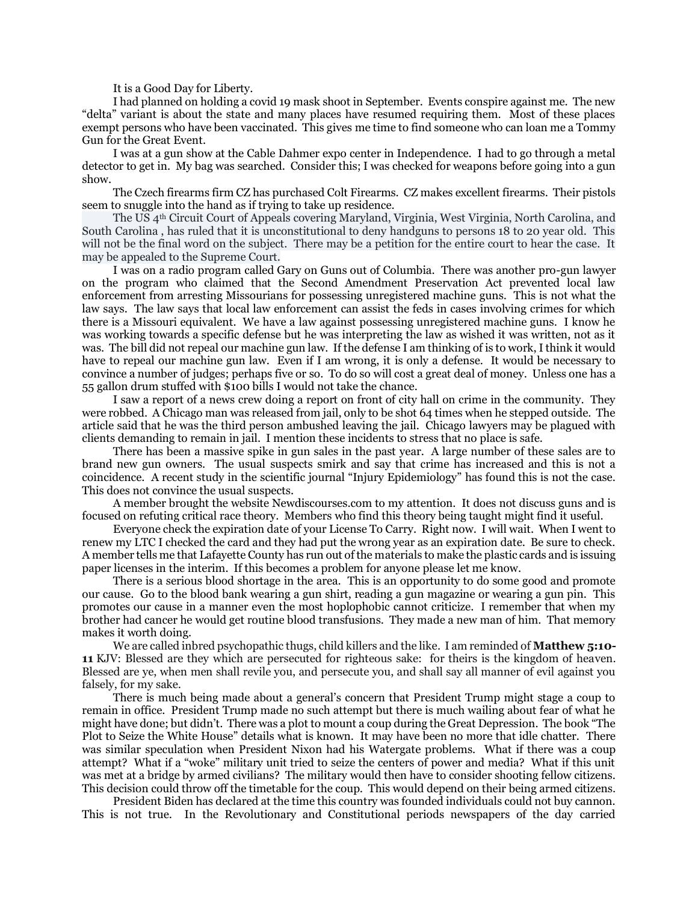It is a Good Day for Liberty.

I had planned on holding a covid 19 mask shoot in September. Events conspire against me. The new "delta" variant is about the state and many places have resumed requiring them. Most of these places exempt persons who have been vaccinated. This gives me time to find someone who can loan me a Tommy Gun for the Great Event.

I was at a gun show at the Cable Dahmer expo center in Independence. I had to go through a metal detector to get in. My bag was searched. Consider this; I was checked for weapons before going into a gun show.

The Czech firearms firm CZ has purchased Colt Firearms. CZ makes excellent firearms. Their pistols seem to snuggle into the hand as if trying to take up residence.

The US 4th Circuit Court of Appeals covering Maryland, Virginia, West Virginia, North Carolina, and South Carolina , has ruled that it is unconstitutional to deny handguns to persons 18 to 20 year old. This will not be the final word on the subject. There may be a petition for the entire court to hear the case. It may be appealed to the Supreme Court.

I was on a radio program called Gary on Guns out of Columbia. There was another pro-gun lawyer on the program who claimed that the Second Amendment Preservation Act prevented local law enforcement from arresting Missourians for possessing unregistered machine guns. This is not what the law says. The law says that local law enforcement can assist the feds in cases involving crimes for which there is a Missouri equivalent. We have a law against possessing unregistered machine guns. I know he was working towards a specific defense but he was interpreting the law as wished it was written, not as it was. The bill did not repeal our machine gun law. If the defense I am thinking of is to work, I think it would have to repeal our machine gun law. Even if I am wrong, it is only a defense. It would be necessary to convince a number of judges; perhaps five or so. To do so will cost a great deal of money. Unless one has a 55 gallon drum stuffed with \$100 bills I would not take the chance.

I saw a report of a news crew doing a report on front of city hall on crime in the community. They were robbed. A Chicago man was released from jail, only to be shot 64 times when he stepped outside. The article said that he was the third person ambushed leaving the jail. Chicago lawyers may be plagued with clients demanding to remain in jail. I mention these incidents to stress that no place is safe.

There has been a massive spike in gun sales in the past year. A large number of these sales are to brand new gun owners. The usual suspects smirk and say that crime has increased and this is not a coincidence. A recent study in the scientific journal "Injury Epidemiology" has found this is not the case. This does not convince the usual suspects.

A member brought the website Newdiscourses.com to my attention. It does not discuss guns and is focused on refuting critical race theory. Members who find this theory being taught might find it useful.

Everyone check the expiration date of your License To Carry. Right now. I will wait. When I went to renew my LTC I checked the card and they had put the wrong year as an expiration date. Be sure to check. A member tells me that Lafayette County has run out of the materials to make the plastic cards and is issuing paper licenses in the interim. If this becomes a problem for anyone please let me know.

There is a serious blood shortage in the area. This is an opportunity to do some good and promote our cause. Go to the blood bank wearing a gun shirt, reading a gun magazine or wearing a gun pin. This promotes our cause in a manner even the most hoplophobic cannot criticize. I remember that when my brother had cancer he would get routine blood transfusions. They made a new man of him. That memory makes it worth doing.

We are called inbred psychopathic thugs, child killers and the like. I am reminded of **Matthew 5:10- 11** KJV: Blessed are they which are persecuted for righteous sake: for theirs is the kingdom of heaven. Blessed are ye, when men shall revile you, and persecute you, and shall say all manner of evil against you falsely, for my sake.

There is much being made about a general's concern that President Trump might stage a coup to remain in office. President Trump made no such attempt but there is much wailing about fear of what he might have done; but didn't. There was a plot to mount a coup during the Great Depression. The book "The Plot to Seize the White House" details what is known. It may have been no more that idle chatter. There was similar speculation when President Nixon had his Watergate problems. What if there was a coup attempt? What if a "woke" military unit tried to seize the centers of power and media? What if this unit was met at a bridge by armed civilians? The military would then have to consider shooting fellow citizens. This decision could throw off the timetable for the coup. This would depend on their being armed citizens.

President Biden has declared at the time this country was founded individuals could not buy cannon. This is not true. In the Revolutionary and Constitutional periods newspapers of the day carried